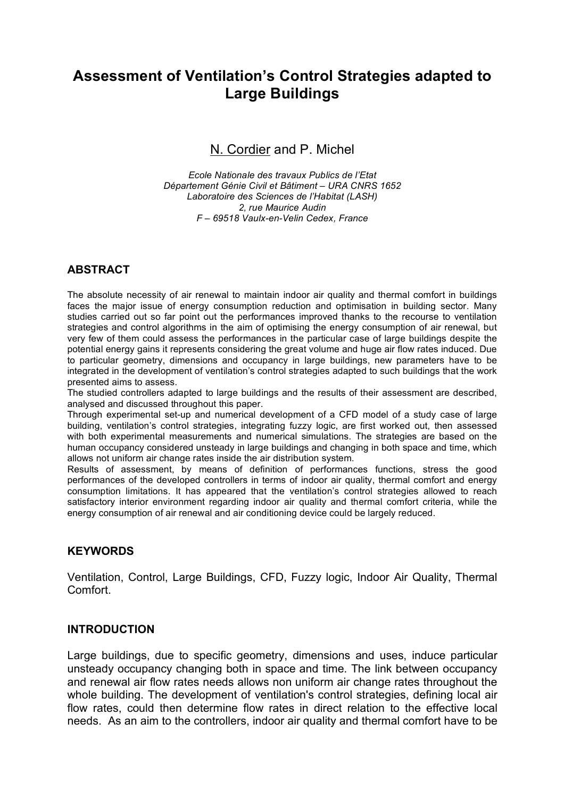# **Assessment of Ventilation's Control Strategies adapted to Large Buildings**

N. Cordier and P. Michel

*Ecole Nationale des travaux Publics de l'Etat Département Génie Civil et Bâtiment – URA CNRS 1652 Laboratoire des Sciences de l'Habitat (LASH) 2, rue Maurice Audin F – 69518 Vaulx-en-Velin Cedex, France*

## **ABSTRACT**

The absolute necessity of air renewal to maintain indoor air quality and thermal comfort in buildings faces the major issue of energy consumption reduction and optimisation in building sector. Many studies carried out so far point out the performances improved thanks to the recourse to ventilation strategies and control algorithms in the aim of optimising the energy consumption of air renewal, but very few of them could assess the performances in the particular case of large buildings despite the potential energy gains it represents considering the great volume and huge air flow rates induced. Due to particular geometry, dimensions and occupancy in large buildings, new parameters have to be integrated in the development of ventilation's control strategies adapted to such buildings that the work presented aims to assess.

The studied controllers adapted to large buildings and the results of their assessment are described, analysed and discussed throughout this paper.

Through experimental set-up and numerical development of a CFD model of a study case of large building, ventilation's control strategies, integrating fuzzy logic, are first worked out, then assessed with both experimental measurements and numerical simulations. The strategies are based on the human occupancy considered unsteady in large buildings and changing in both space and time, which allows not uniform air change rates inside the air distribution system.

Results of assessment, by means of definition of performances functions, stress the good performances of the developed controllers in terms of indoor air quality, thermal comfort and energy consumption limitations. It has appeared that the ventilation's control strategies allowed to reach satisfactory interior environment regarding indoor air quality and thermal comfort criteria, while the energy consumption of air renewal and air conditioning device could be largely reduced.

### **KEYWORDS**

Ventilation, Control, Large Buildings, CFD, Fuzzy logic, Indoor Air Quality, Thermal Comfort.

### **INTRODUCTION**

Large buildings, due to specific geometry, dimensions and uses, induce particular unsteady occupancy changing both in space and time. The link between occupancy and renewal air flow rates needs allows non uniform air change rates throughout the whole building. The development of ventilation's control strategies, defining local air flow rates, could then determine flow rates in direct relation to the effective local needs. As an aim to the controllers, indoor air quality and thermal comfort have to be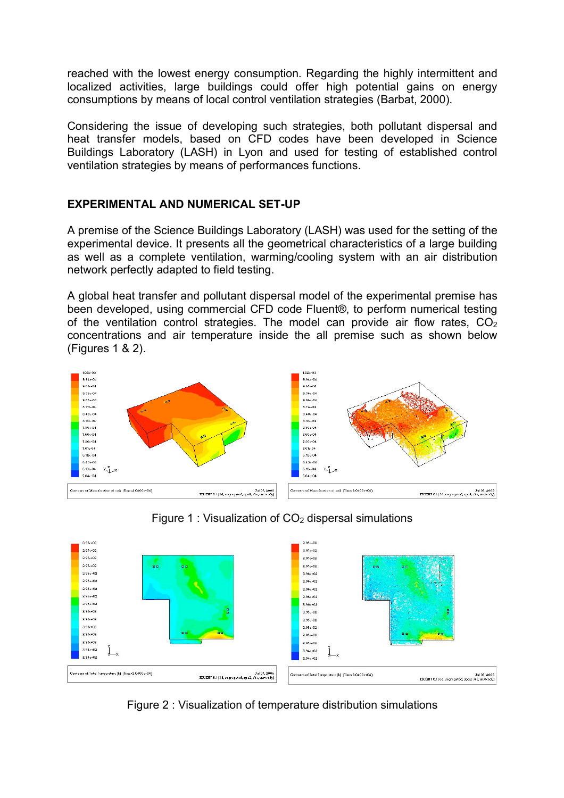reached with the lowest energy consumption. Regarding the highly intermittent and localized activities, large buildings could offer high potential gains on energy consumptions by means of local control ventilation strategies (Barbat, 2000).

Considering the issue of developing such strategies, both pollutant dispersal and heat transfer models, based on CFD codes have been developed in Science Buildings Laboratory (LASH) in Lyon and used for testing of established control ventilation strategies by means of performances functions.

## **EXPERIMENTAL AND NUMERICAL SET-UP**

A premise of the Science Buildings Laboratory (LASH) was used for the setting of the experimental device. It presents all the geometrical characteristics of a large building as well as a complete ventilation, warming/cooling system with an air distribution network perfectly adapted to field testing.

A global heat transfer and pollutant dispersal model of the experimental premise has been developed, using commercial CFD code Fluent®, to perform numerical testing of the ventilation control strategies. The model can provide air flow rates,  $CO<sub>2</sub>$ concentrations and air temperature inside the all premise such as shown below (Figures 1 & 2).



Figure 1 : Visualization of  $CO<sub>2</sub>$  dispersal simulations



Figure 2 : Visualization of temperature distribution simulations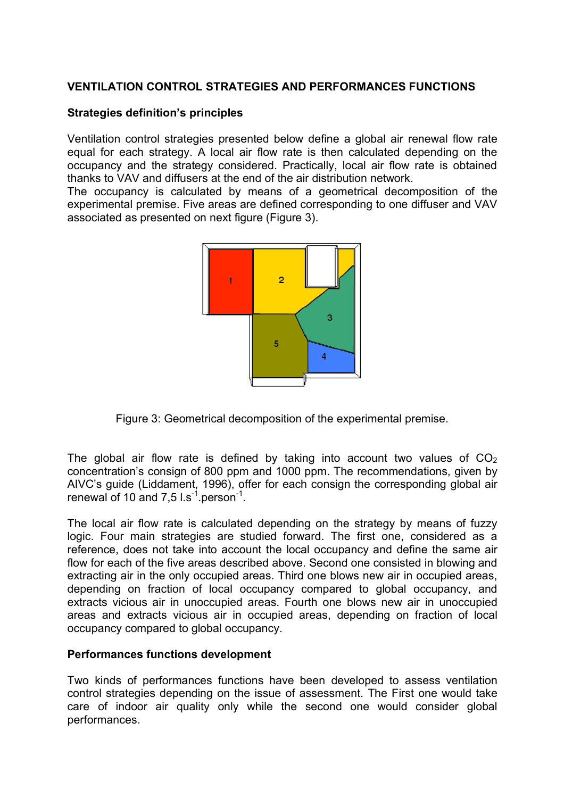## **VENTILATION CONTROL STRATEGIES AND PERFORMANCES FUNCTIONS**

#### **Strategies definition's principles**

Ventilation control strategies presented below define a global air renewal flow rate equal for each strategy. A local air flow rate is then calculated depending on the occupancy and the strategy considered. Practically, local air flow rate is obtained thanks to VAV and diffusers at the end of the air distribution network.

The occupancy is calculated by means of a geometrical decomposition of the experimental premise. Five areas are defined corresponding to one diffuser and VAV associated as presented on next figure (Figure 3).



Figure 3: Geometrical decomposition of the experimental premise.

The global air flow rate is defined by taking into account two values of  $CO<sub>2</sub>$ concentration's consign of 800 ppm and 1000 ppm. The recommendations, given by AIVC's guide (Liddament, 1996), offer for each consign the corresponding global air renewal of 10 and 7,5  $1 \text{ s}^{-1}$  person<sup>-1</sup>.

The local air flow rate is calculated depending on the strategy by means of fuzzy logic. Four main strategies are studied forward. The first one, considered as a reference, does not take into account the local occupancy and define the same air flow for each of the five areas described above. Second one consisted in blowing and extracting air in the only occupied areas. Third one blows new air in occupied areas, depending on fraction of local occupancy compared to global occupancy, and extracts vicious air in unoccupied areas. Fourth one blows new air in unoccupied areas and extracts vicious air in occupied areas, depending on fraction of local occupancy compared to global occupancy.

#### **Performances functions development**

Two kinds of performances functions have been developed to assess ventilation control strategies depending on the issue of assessment. The First one would take care of indoor air quality only while the second one would consider global performances.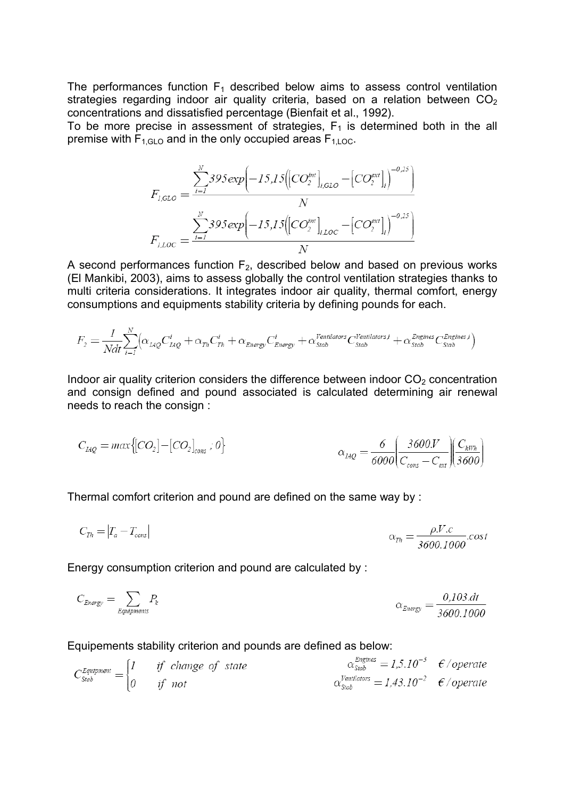The performances function  $F_1$  described below aims to assess control ventilation strategies regarding indoor air quality criteria, based on a relation between  $CO<sub>2</sub>$ concentrations and dissatisfied percentage (Bienfait et al., 1992).

To be more precise in assessment of strategies,  $F_1$  is determined both in the all premise with  $F_{1,GIO}$  and in the only occupied areas  $F_{1,1,0C}$ .

$$
F_{I,GLO} = \frac{\sum_{i=1}^{N} 395 \exp \left(-15,15 \left( \left[ CO_{2}^{int} \right]_{i,GLO} - \left[ CO_{2}^{ext} \right]_{i} \right)^{-0.25} \right)}{N}
$$

$$
F_{I,LOC} = \frac{\sum_{i=1}^{N} 395 \exp \left(-15,15 \left( \left[ CO_{2}^{int} \right]_{i,LOC} - \left[ CO_{2}^{ext} \right]_{i} \right)^{-0.25} \right)}{N}
$$

A second performances function  $F_2$ , described below and based on previous works (El Mankibi, 2003), aims to assess globally the control ventilation strategies thanks to multi criteria considerations. It integrates indoor air quality, thermal comfort, energy consumptions and equipments stability criteria by defining pounds for each.

$$
F_2 = \frac{1}{Ndt} \sum_{i=1}^{N} \Bigl( \alpha_{L4Q} C_{L4Q}^i + \alpha_{Th} C_{Th}^i + \alpha_{Energy} C_{Energy}^i + \alpha_{Stab}^{Ventilators} C_{Stab}^{Ventilators} + \alpha_{Stab}^{Engines} C_{Stab}^{Engines} \Bigr)
$$

Indoor air quality criterion considers the difference between indoor  $CO<sub>2</sub>$  concentration and consign defined and pound associated is calculated determining air renewal needs to reach the consign :

$$
C_{LQ} = \max\{[CO_2] - [CO_2]_{cons} : 0\}
$$

$$
\alpha_{LQ} = \frac{6}{6000} \left(\frac{3600 \text{V}}{C_{cons} - C_{ext}}\right) \left(\frac{C_{kWh}}{3600}\right)
$$

Thermal comfort criterion and pound are defined on the same way by :

$$
C_{\text{Th}} = |T_a - T_{\text{cons}}|
$$
\n
$$
\alpha_{\text{Th}} = \frac{\rho.V.c}{3600.1000} \cos \theta
$$

Energy consumption criterion and pound are calculated by :

$$
C_{Energy} = \sum_{Equipments} P_k
$$
\n
$$
\alpha_{Energy} = \frac{0,103.dt}{3600,1000}
$$

#### Equipements stability criterion and pounds are defined as below:

$$
C_{\text{Stab}}^{\text{Equipment}} = \begin{cases} 1 & \text{if change of state} \\ 0 & \text{if not} \end{cases} \quad \text{state} \quad \alpha_{\text{Stab}}^{\text{Lengthes}} = 1,5.10^{-3} \quad \text{f/operate}
$$
\n
$$
\alpha_{\text{Stab}}^{\text{Pertilators}} = 1,43.10^{-2} \quad \text{f/operate}
$$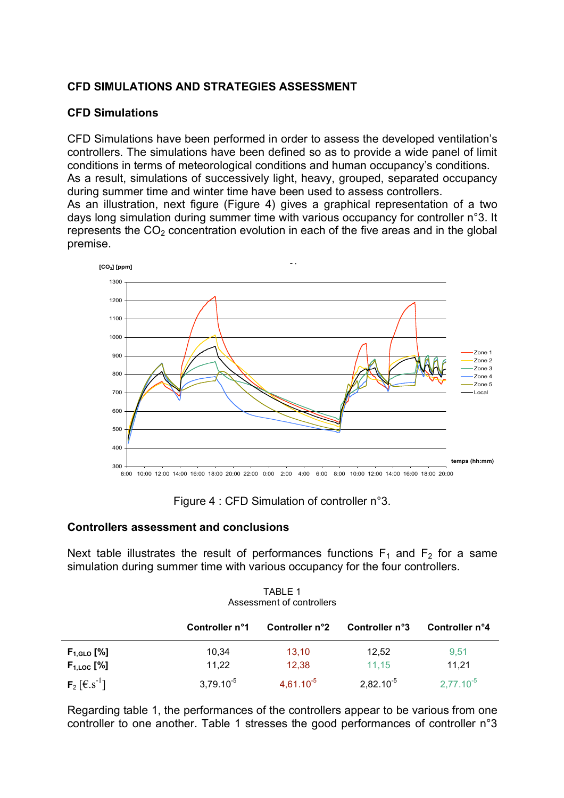## **CFD SIMULATIONS AND STRATEGIES ASSESSMENT**

## **CFD Simulations**

CFD Simulations have been performed in order to assess the developed ventilation's controllers. The simulations have been defined so as to provide a wide panel of limit conditions in terms of meteorological conditions and human occupancy's conditions. As a result, simulations of successively light, heavy, grouped, separated occupancy during summer time and winter time have been used to assess controllers.

As an illustration, next figure (Figure 4) gives a graphical representation of a two days long simulation during summer time with various occupancy for controller n°3. It represents the  $CO<sub>2</sub>$  concentration evolution in each of the five areas and in the global premise.



Figure 4 : CFD Simulation of controller n°3.

### **Controllers assessment and conclusions**

Next table illustrates the result of performances functions  $F_1$  and  $F_2$  for a same simulation during summer time with various occupancy for the four controllers.

| TABLE 1                   |  |  |  |  |  |
|---------------------------|--|--|--|--|--|
| Assessment of controllers |  |  |  |  |  |

|                                           | Controller n°1 | Controller n°2 | Controller n°3 | Controller n°4 |
|-------------------------------------------|----------------|----------------|----------------|----------------|
| $F_{1,\text{GLO}}$ [%]<br>$F_{1,LOC}$ [%] | 10,34<br>11,22 | 13.10<br>12,38 | 12.52<br>11.15 | 9,51<br>11.21  |
| $F_2$ [ $\in$ . s <sup>-1</sup> ]         | $3,79.10^{-5}$ | $4,61.10^{-5}$ | $2,82.10^{-5}$ | $2,77.10^{-5}$ |

Regarding table 1, the performances of the controllers appear to be various from one controller to one another. Table 1 stresses the good performances of controller n°3